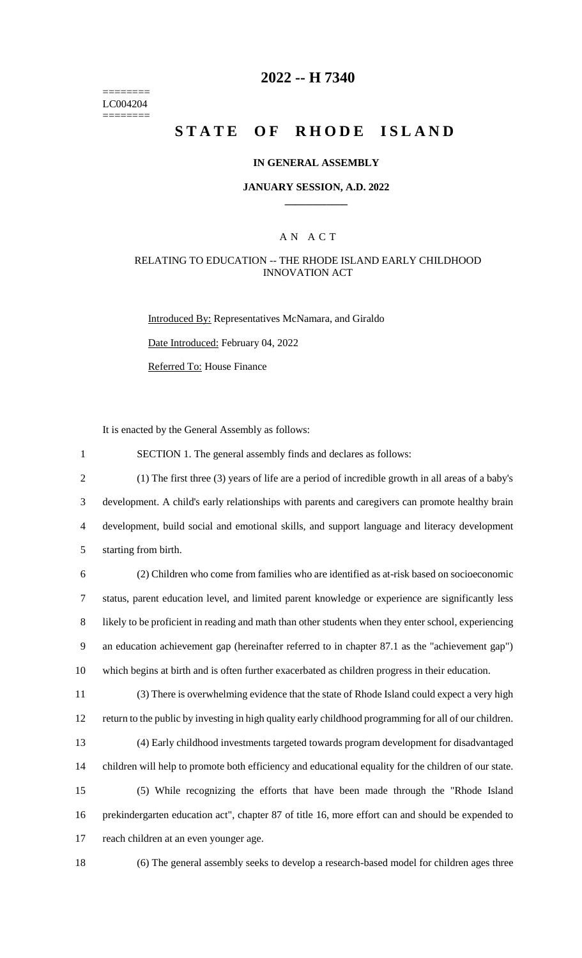======== LC004204 ========

# **2022 -- H 7340**

# **STATE OF RHODE ISLAND**

### **IN GENERAL ASSEMBLY**

### **JANUARY SESSION, A.D. 2022 \_\_\_\_\_\_\_\_\_\_\_\_**

### A N A C T

### RELATING TO EDUCATION -- THE RHODE ISLAND EARLY CHILDHOOD INNOVATION ACT

Introduced By: Representatives McNamara, and Giraldo

Date Introduced: February 04, 2022

Referred To: House Finance

It is enacted by the General Assembly as follows:

1 SECTION 1. The general assembly finds and declares as follows:

 (1) The first three (3) years of life are a period of incredible growth in all areas of a baby's development. A child's early relationships with parents and caregivers can promote healthy brain development, build social and emotional skills, and support language and literacy development starting from birth.

 (2) Children who come from families who are identified as at-risk based on socioeconomic status, parent education level, and limited parent knowledge or experience are significantly less likely to be proficient in reading and math than other students when they enter school, experiencing an education achievement gap (hereinafter referred to in chapter 87.1 as the "achievement gap") which begins at birth and is often further exacerbated as children progress in their education.

11 (3) There is overwhelming evidence that the state of Rhode Island could expect a very high 12 return to the public by investing in high quality early childhood programming for all of our children.

13 (4) Early childhood investments targeted towards program development for disadvantaged 14 children will help to promote both efficiency and educational equality for the children of our state.

15 (5) While recognizing the efforts that have been made through the "Rhode Island 16 prekindergarten education act", chapter 87 of title 16, more effort can and should be expended to 17 reach children at an even younger age.

18 (6) The general assembly seeks to develop a research-based model for children ages three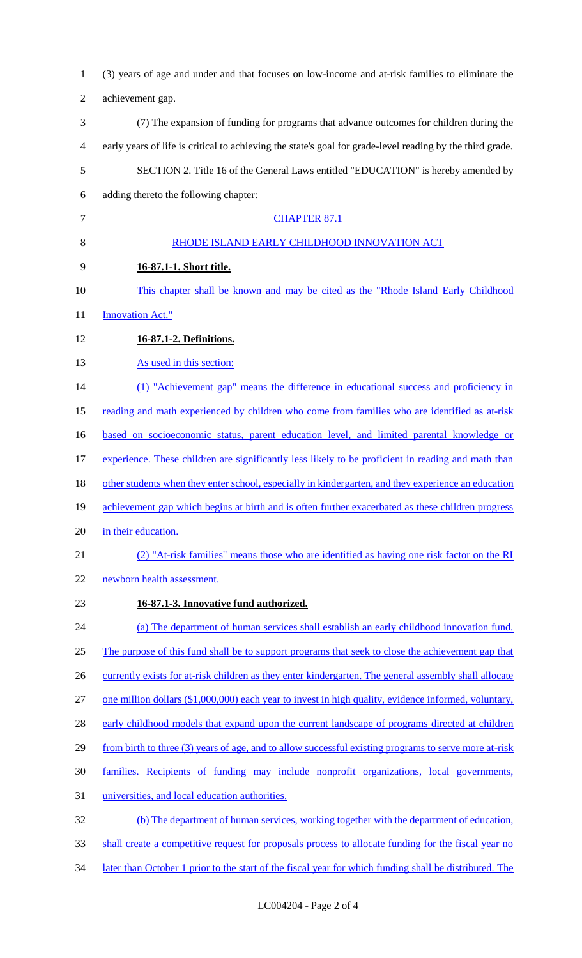| $\mathbf{1}$ | (3) years of age and under and that focuses on low-income and at-risk families to eliminate the           |
|--------------|-----------------------------------------------------------------------------------------------------------|
| 2            | achievement gap.                                                                                          |
| 3            | (7) The expansion of funding for programs that advance outcomes for children during the                   |
| 4            | early years of life is critical to achieving the state's goal for grade-level reading by the third grade. |
| 5            | SECTION 2. Title 16 of the General Laws entitled "EDUCATION" is hereby amended by                         |
| 6            | adding thereto the following chapter:                                                                     |
| 7            | <b>CHAPTER 87.1</b>                                                                                       |
| 8            | RHODE ISLAND EARLY CHILDHOOD INNOVATION ACT                                                               |
| 9            | 16-87.1-1. Short title.                                                                                   |
| 10           | This chapter shall be known and may be cited as the "Rhode Island Early Childhood"                        |
| 11           | <b>Innovation Act."</b>                                                                                   |
| 12           | 16-87.1-2. Definitions.                                                                                   |
| 13           | As used in this section:                                                                                  |
| 14           | (1) "Achievement gap" means the difference in educational success and proficiency in                      |
| 15           | reading and math experienced by children who come from families who are identified as at-risk             |
| 16           | based on socioeconomic status, parent education level, and limited parental knowledge or                  |
| 17           | experience. These children are significantly less likely to be proficient in reading and math than        |
| 18           | other students when they enter school, especially in kindergarten, and they experience an education       |
| 19           | achievement gap which begins at birth and is often further exacerbated as these children progress         |
| 20           | in their education.                                                                                       |
| 21           | (2) "At-risk families" means those who are identified as having one risk factor on the RI                 |
| 22           | newborn health assessment.                                                                                |
| 23           | 16-87.1-3. Innovative fund authorized.                                                                    |
| 24           | (a) The department of human services shall establish an early childhood innovation fund.                  |
| 25           | The purpose of this fund shall be to support programs that seek to close the achievement gap that         |
| 26           | currently exists for at-risk children as they enter kindergarten. The general assembly shall allocate     |
| 27           | one million dollars (\$1,000,000) each year to invest in high quality, evidence informed, voluntary,      |
| 28           | early childhood models that expand upon the current landscape of programs directed at children            |
| 29           | from birth to three (3) years of age, and to allow successful existing programs to serve more at-risk     |
| 30           | families. Recipients of funding may include nonprofit organizations, local governments,                   |
| 31           | universities, and local education authorities.                                                            |
| 32           | (b) The department of human services, working together with the department of education,                  |
| 33           | shall create a competitive request for proposals process to allocate funding for the fiscal year no       |
| 34           | later than October 1 prior to the start of the fiscal year for which funding shall be distributed. The    |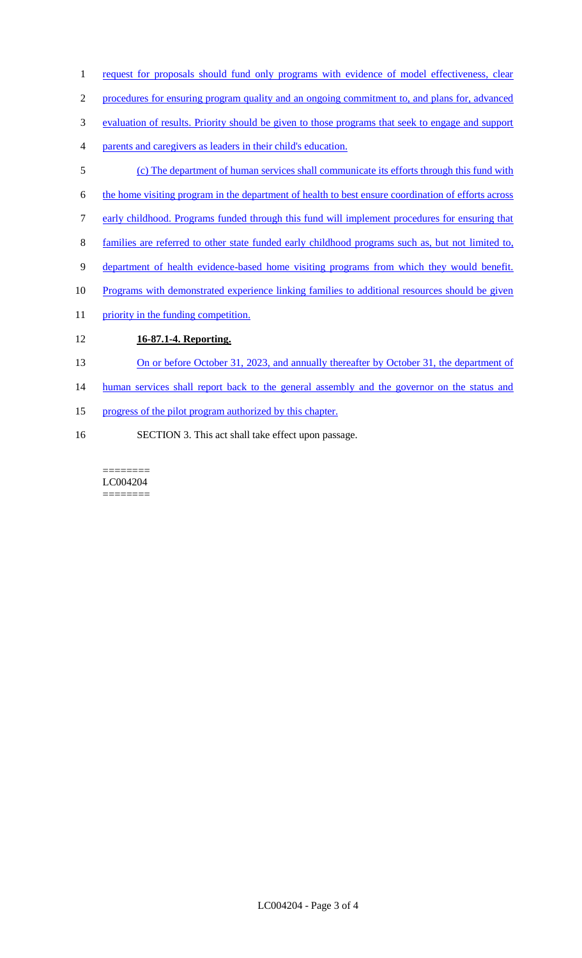- 1 request for proposals should fund only programs with evidence of model effectiveness, clear
- 2 procedures for ensuring program quality and an ongoing commitment to, and plans for, advanced
- 3 evaluation of results. Priority should be given to those programs that seek to engage and support
- 4 parents and caregivers as leaders in their child's education.
- 5 (c) The department of human services shall communicate its efforts through this fund with
- 6 the home visiting program in the department of health to best ensure coordination of efforts across
- 7 early childhood. Programs funded through this fund will implement procedures for ensuring that
- 8 families are referred to other state funded early childhood programs such as, but not limited to,
- 9 department of health evidence-based home visiting programs from which they would benefit.
- 10 Programs with demonstrated experience linking families to additional resources should be given
- 11 priority in the funding competition.

# 12 **16-87.1-4. Reporting.**

- 13 On or before October 31, 2023, and annually thereafter by October 31, the department of
- 14 human services shall report back to the general assembly and the governor on the status and
- 15 progress of the pilot program authorized by this chapter.
- 16 SECTION 3. This act shall take effect upon passage.

======== LC004204 ========